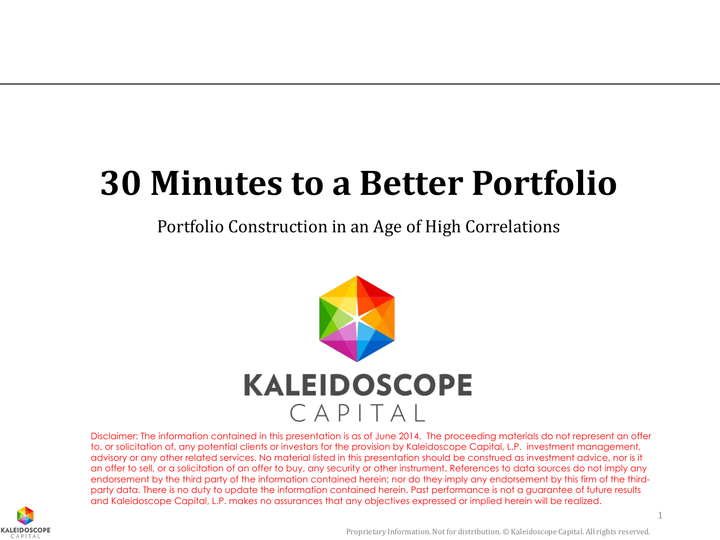## **30 Minutes to a Better Portfolio**

Portfolio Construction in an Age of High Correlations



Disclaimer: The information contained in this presentation is as of June 2014. The proceeding materials do not represent an offer to, or solicitation of, any potential clients or investors for the provision by Kaleidoscope Capital, L.P. investment management, advisory or any other related services. No material listed in this presentation should be construed as investment advice, nor is it an offer to sell, or a solicitation of an offer to buy, any security or other instrument. References to data sources do not imply any endorsement by the third party of the information contained herein; nor do they imply any endorsement by this firm of the thirdparty data. There is no duty to update the information contained herein. Past performance is not a guarantee of future results and Kaleidoscope Capital, L.P. makes no assurances that any objectives expressed or implied herein will be realized.

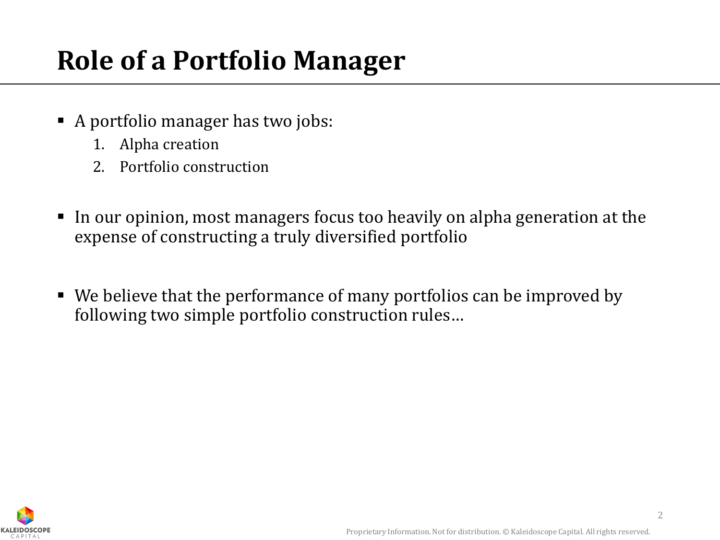## **Role of a Portfolio Manager**

- A portfolio manager has two jobs:
	- 1. Alpha creation
	- 2. Portfolio construction
- In our opinion, most managers focus too heavily on alpha generation at the expense of constructing a truly diversified portfolio
- We believe that the performance of many portfolios can be improved by following two simple portfolio construction rules…

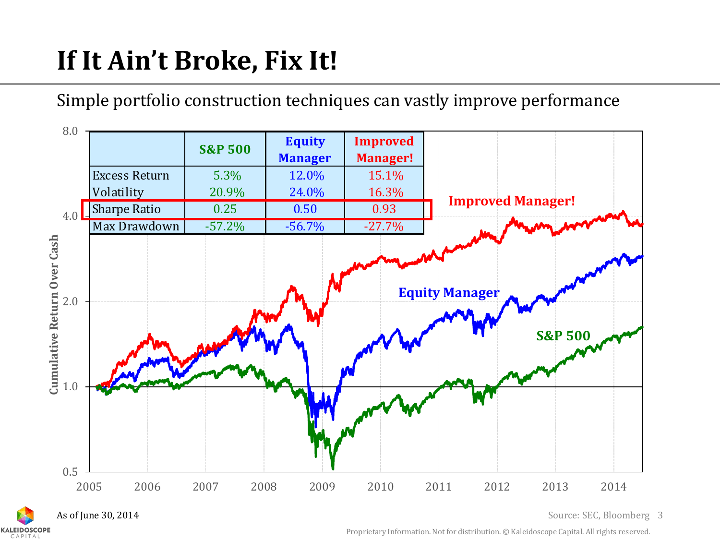## **If It Ain't Broke, Fix It!**

Simple portfolio construction techniques can vastly improve performance



As of June 30, 2014

**KALEIDOSCOPE** 

3 Source: SEC, Bloomberg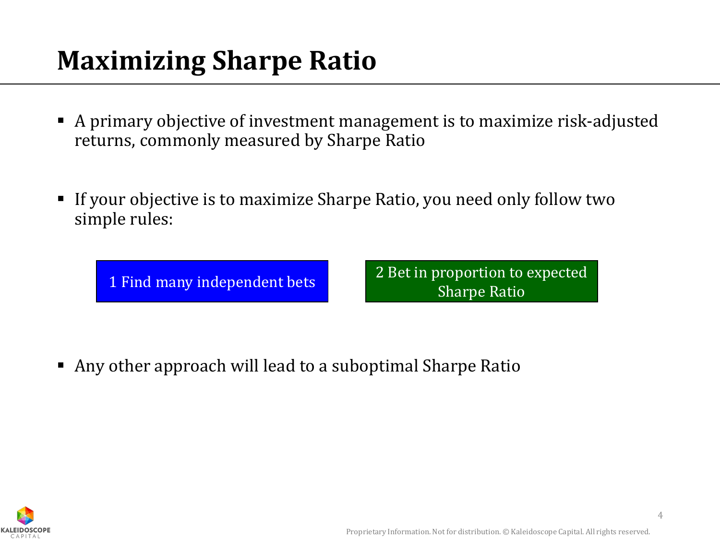## **Maximizing Sharpe Ratio**

- A primary objective of investment management is to maximize risk-adjusted returns, commonly measured by Sharpe Ratio
- If your objective is to maximize Sharpe Ratio, you need only follow two simple rules:

1 Find many independent bets 2 Bet in proportion to expected Sharpe Ratio

Any other approach will lead to a suboptimal Sharpe Ratio

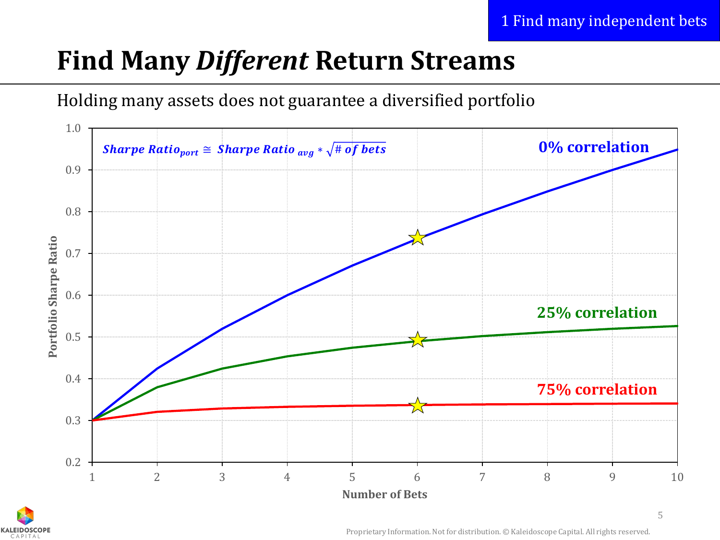## **Find Many** *Different* **Return Streams**





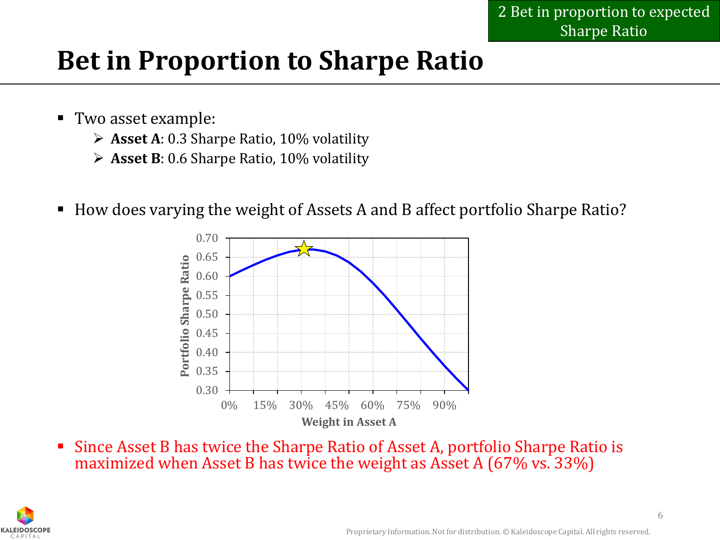## **Bet in Proportion to Sharpe Ratio**

- Two asset example:
	- **Asset A**: 0.3 Sharpe Ratio, 10% volatility
	- **Asset B**: 0.6 Sharpe Ratio, 10% volatility
- How does varying the weight of Assets A and B affect portfolio Sharpe Ratio?



 Since Asset B has twice the Sharpe Ratio of Asset A, portfolio Sharpe Ratio is maximized when Asset B has twice the weight as Asset A (67% vs. 33%)

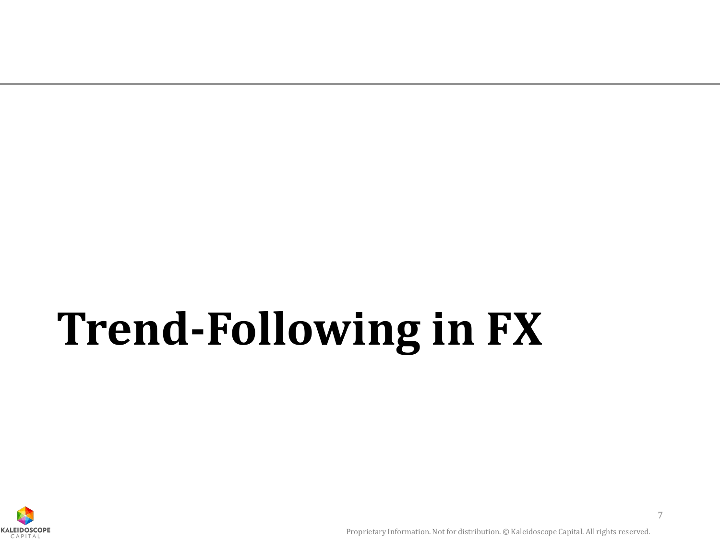# **Trend-Following in FX**

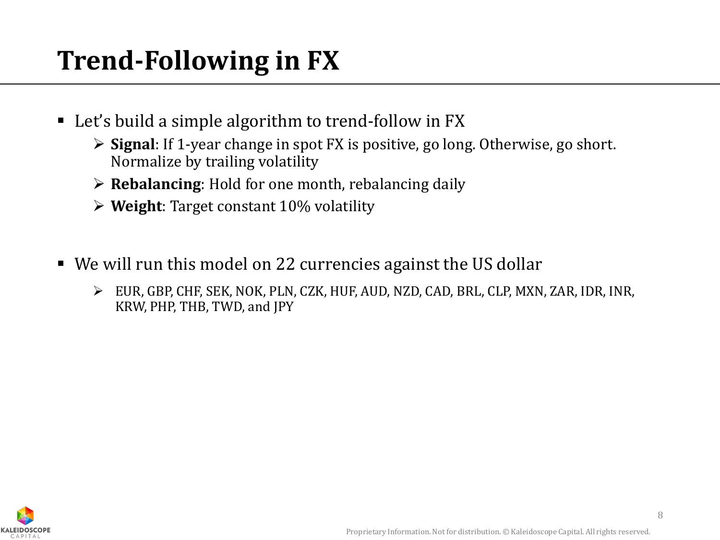## **Trend-Following in FX**

- Let's build a simple algorithm to trend-follow in FX
	- **Signal**: If 1-year change in spot FX is positive, go long. Otherwise, go short. Normalize by trailing volatility
	- **Rebalancing**: Hold for one month, rebalancing daily
	- **Weight**: Target constant 10% volatility
- We will run this model on 22 currencies against the US dollar
	- EUR, GBP, CHF, SEK, NOK, PLN, CZK, HUF, AUD, NZD, CAD, BRL, CLP, MXN, ZAR, IDR, INR, KRW, PHP, THB, TWD, and JPY

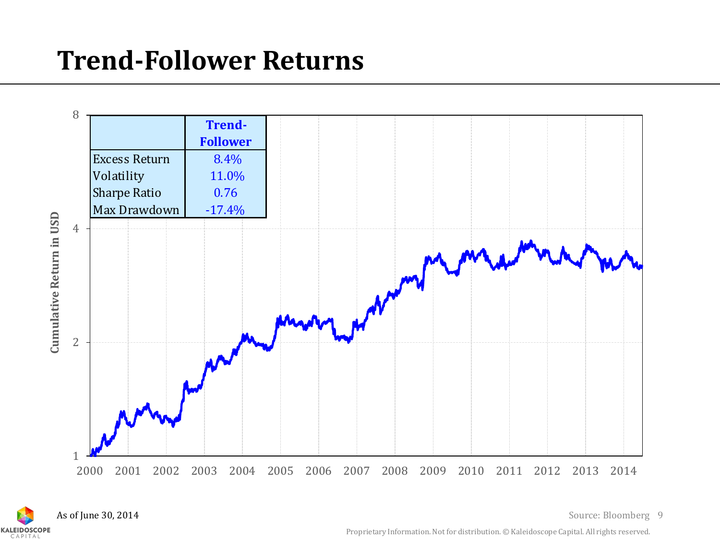## **Trend-Follower Returns**





As of June 30, 2014 **Source: Bloomberg** 9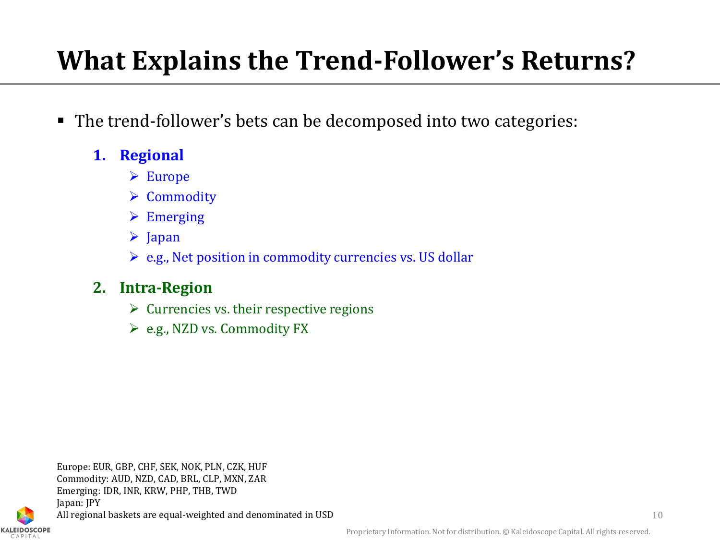## **What Explains the Trend-Follower's Returns?**

- The trend-follower's bets can be decomposed into two categories:
	- **1. Regional**
		- Europe
		- **▶ Commodity**
		- $\triangleright$  Emerging
		- $\triangleright$  Japan
		- $\triangleright$  e.g., Net position in commodity currencies vs. US dollar

#### **2. Intra-Region**

- $\triangleright$  Currencies vs. their respective regions
- e.g., NZD vs. Commodity FX

Europe: EUR, GBP, CHF, SEK, NOK, PLN, CZK, HUF Commodity: AUD, NZD, CAD, BRL, CLP, MXN, ZAR Emerging: IDR, INR, KRW, PHP, THB, TWD Japan: JPY All regional baskets are equal-weighted and denominated in USD 10

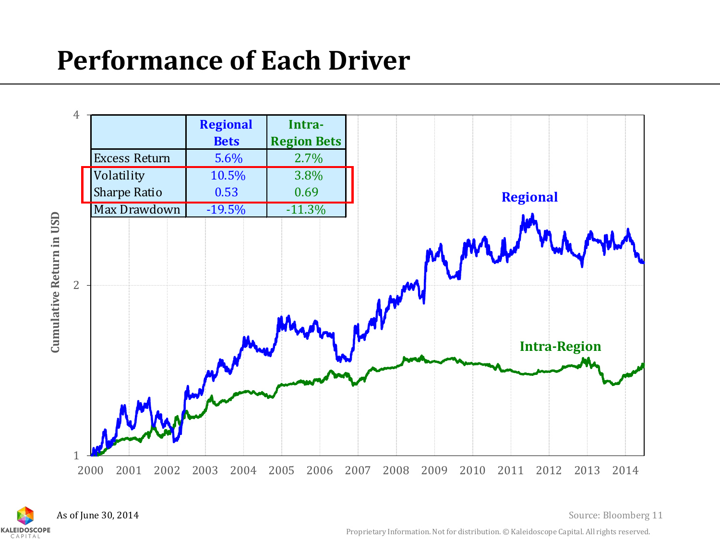## **Performance of Each Driver**





Source: Bloomberg 11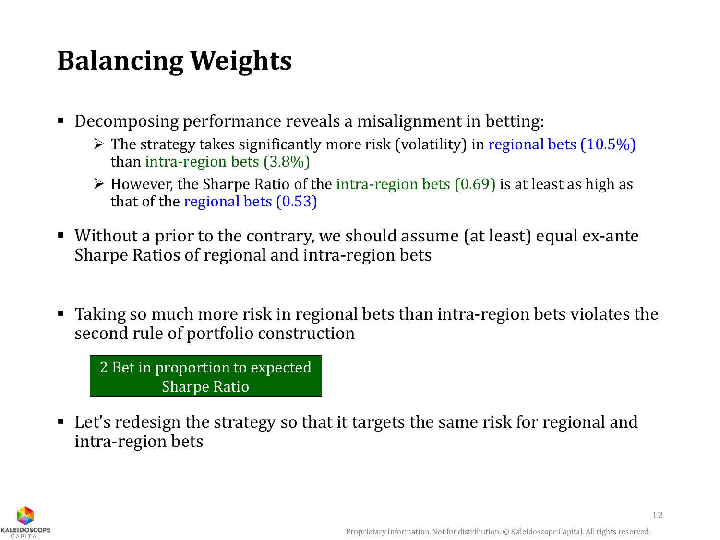## **Balancing Weights**

- Decomposing performance reveals a misalignment in betting:
	- $\triangleright$  The strategy takes significantly more risk (volatility) in regional bets (10.5%) than intra-region bets (3.8%)
	- $\triangleright$  However, the Sharpe Ratio of the intra-region bets (0.69) is at least as high as that of the regional bets (0.53)
- Without a prior to the contrary, we should assume (at least) equal ex-ante Sharpe Ratios of regional and intra-region bets
- Taking so much more risk in regional bets than intra-region bets violates the second rule of portfolio construction

2 Bet in proportion to expected Sharpe Ratio

 Let's redesign the strategy so that it targets the same risk for regional and intra-region bets

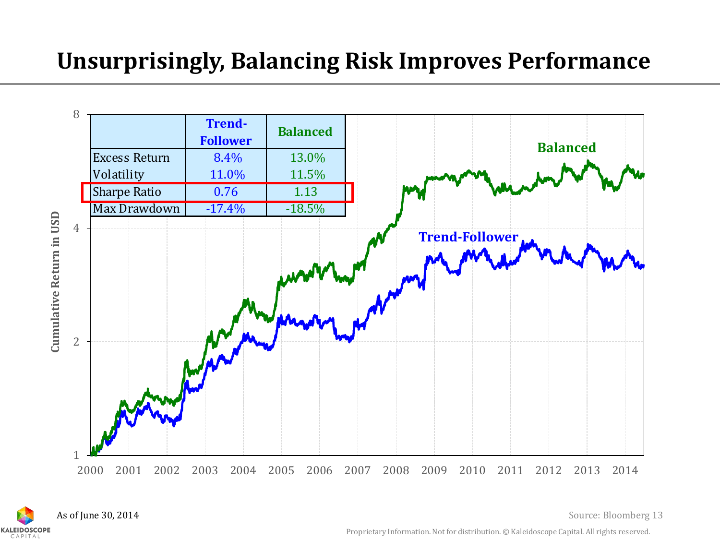### **Unsurprisingly, Balancing Risk Improves Performance**



As of June 30, 2014**KALEIDOSCOPE** 

13 Source: Bloomberg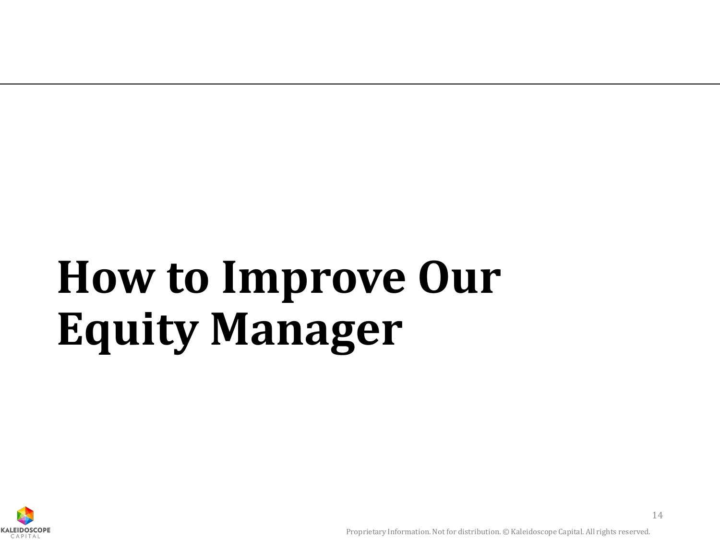# **How to Improve Our Equity Manager**

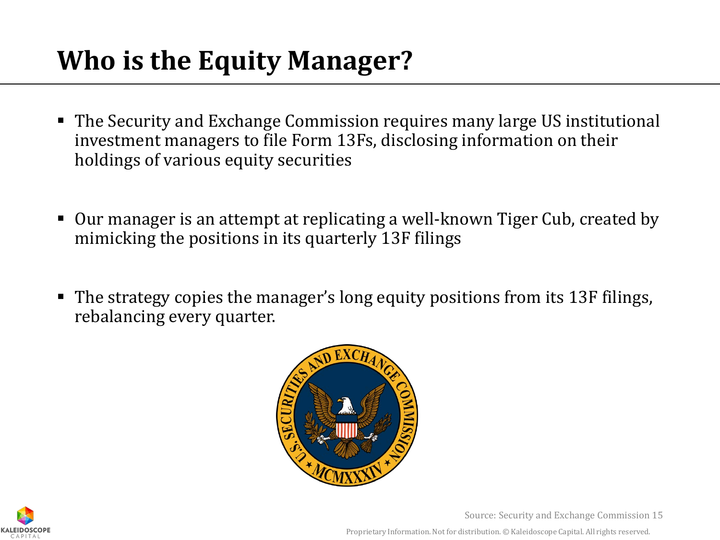## **Who is the Equity Manager?**

- The Security and Exchange Commission requires many large US institutional investment managers to file Form 13Fs, disclosing information on their holdings of various equity securities
- Our manager is an attempt at replicating a well-known Tiger Cub, created by mimicking the positions in its quarterly 13F filings
- The strategy copies the manager's long equity positions from its 13F filings, rebalancing every quarter.





Source: Security and Exchange Commission 15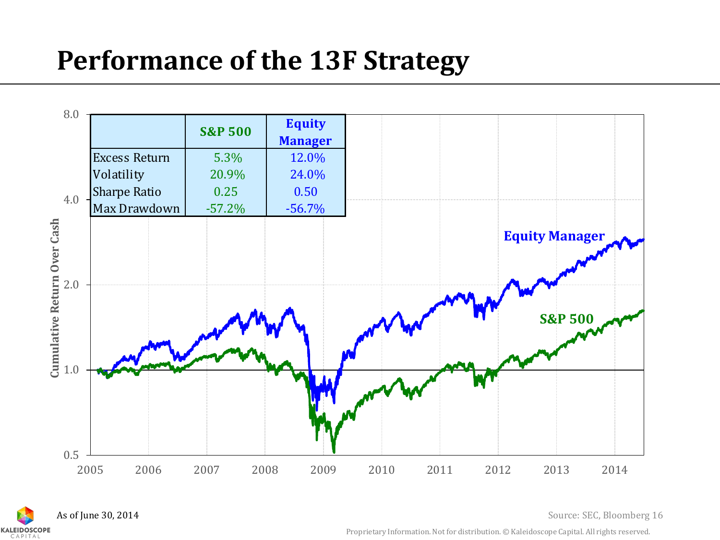## **Performance of the 13F Strategy**





As of June 30, 2014 Source: SEC, Bloomberg 16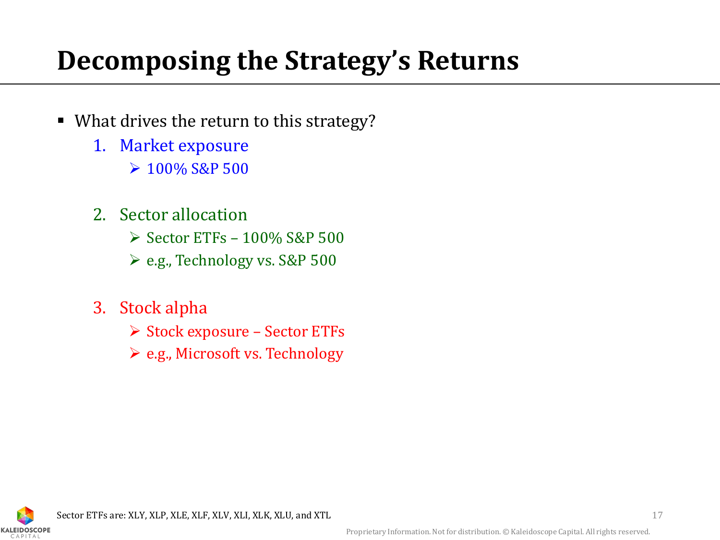## **Decomposing the Strategy's Returns**

- What drives the return to this strategy?
	- 1. Market exposure
		- $\geq 100\%$  S&P 500
	- 2. Sector allocation
		- $\geq$  Sector ETFs 100% S&P 500
		- e.g., Technology vs. S&P 500
	- 3. Stock alpha
		- $\triangleright$  Stock exposure Sector ETFs
		- e.g., Microsoft vs. Technology

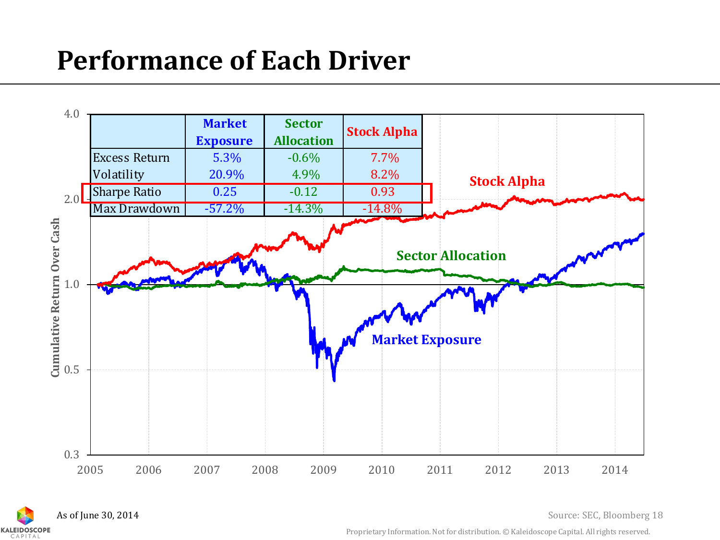## **Performance of Each Driver**





As of June 30, 2014 **Source: SEC, Bloomberg 18**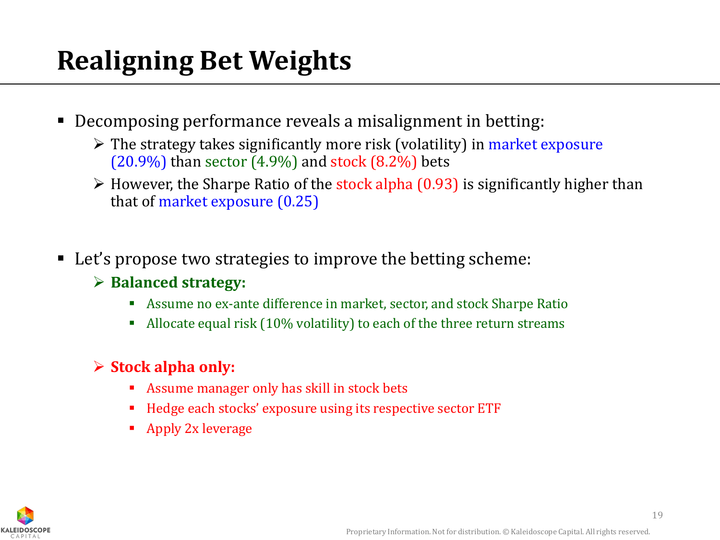## **Realigning Bet Weights**

- Decomposing performance reveals a misalignment in betting:
	- $\triangleright$  The strategy takes significantly more risk (volatility) in market exposure  $(20.9\%)$  than sector  $(4.9\%)$  and stock  $(8.2\%)$  bets
	- $\triangleright$  However, the Sharpe Ratio of the stock alpha (0.93) is significantly higher than that of market exposure (0.25)
- Let's propose two strategies to improve the betting scheme:
	- **Balanced strategy:**
		- Assume no ex-ante difference in market, sector, and stock Sharpe Ratio
		- Allocate equal risk (10% volatility) to each of the three return streams

#### **Stock alpha only:**

- Assume manager only has skill in stock bets
- Hedge each stocks' exposure using its respective sector ETF
- **Apply 2x leverage**

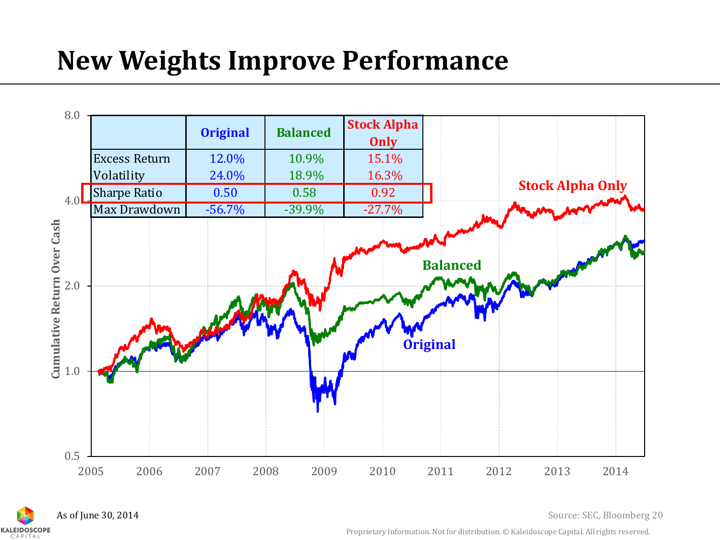## **New Weights Improve Performance**



As of June 30, 2014**KALEIDOSCOPE** 

Source: SEC, Bloomberg 20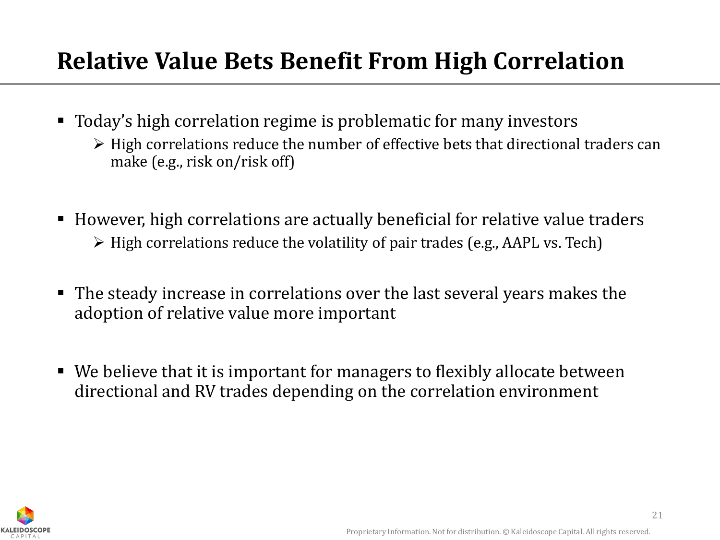### **Relative Value Bets Benefit From High Correlation**

- Today's high correlation regime is problematic for many investors
	- $\triangleright$  High correlations reduce the number of effective bets that directional traders can make (e.g., risk on/risk off)
- However, high correlations are actually beneficial for relative value traders  $\triangleright$  High correlations reduce the volatility of pair trades (e.g., AAPL vs. Tech)
- The steady increase in correlations over the last several years makes the adoption of relative value more important
- We believe that it is important for managers to flexibly allocate between directional and RV trades depending on the correlation environment